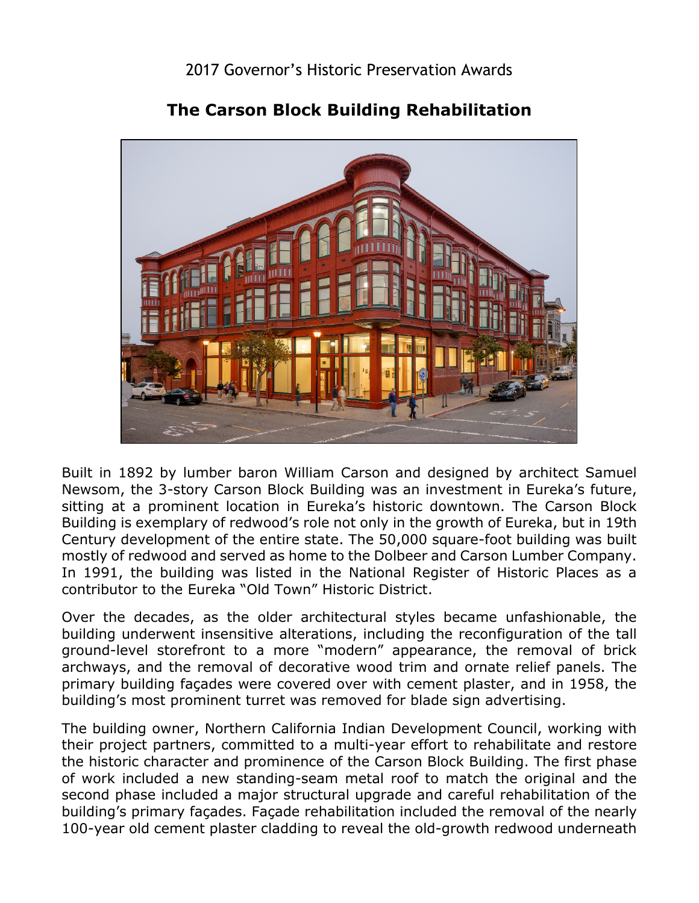

## **The Carson Block Building Rehabilitation**

 Built in 1892 by lumber baron William Carson and designed by architect Samuel sitting at a prominent location in Eureka's historic downtown. The Carson Block Building is exemplary of redwood's role not only in the growth of Eureka, but in 19th Century development of the entire state. The 50,000 square-foot building was built In 1991, the building was listed in the National Register of Historic Places as a Newsom, the 3-story Carson Block Building was an investment in Eureka's future, mostly of redwood and served as home to the Dolbeer and Carson Lumber Company. contributor to the Eureka "Old Town" Historic District.

 ground-level storefront to a more "modern" appearance, the removal of brick primary building façades were covered over with cement plaster, and in 1958, the building's most prominent turret was removed for blade sign advertising. Over the decades, as the older architectural styles became unfashionable, the building underwent insensitive alterations, including the reconfiguration of the tall archways, and the removal of decorative wood trim and ornate relief panels. The

 the historic character and prominence of the Carson Block Building. The first phase second phase included a major structural upgrade and careful rehabilitation of the The building owner, Northern California Indian Development Council, working with their project partners, committed to a multi-year effort to rehabilitate and restore of work included a new standing-seam metal roof to match the original and the building's primary façades. Façade rehabilitation included the removal of the nearly 100-year old cement plaster cladding to reveal the old-growth redwood underneath